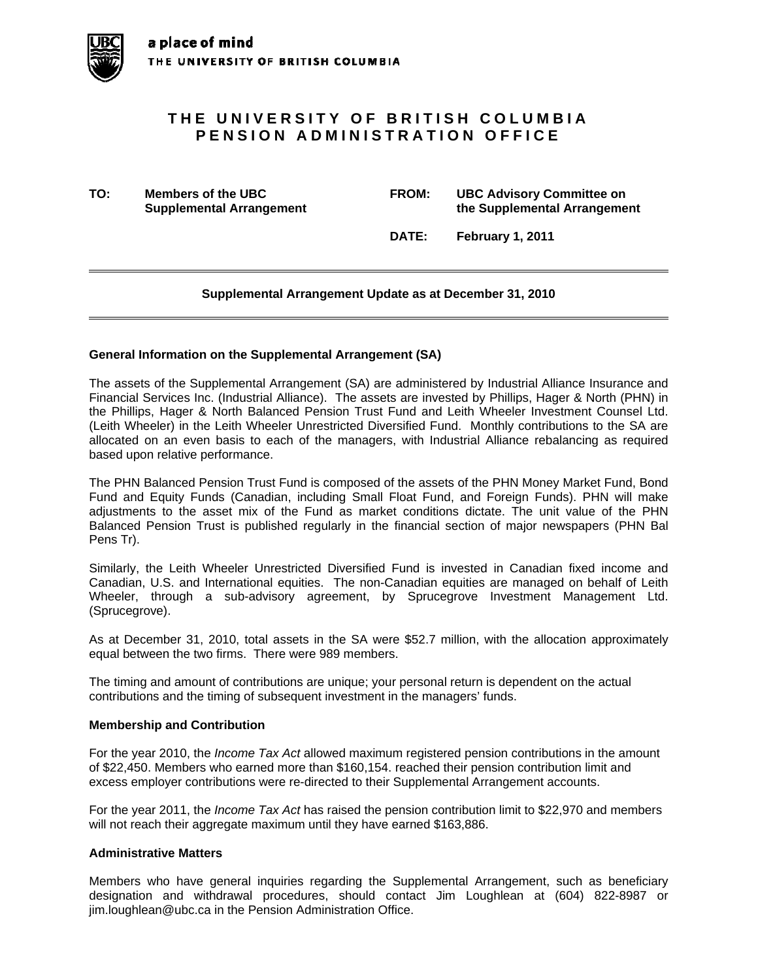# **THE UNIVERSITY OF BRITISH COLUMBIA PENSION ADMINISTRATION OFFICE**

**TO: Members of the UBC FROM: UBC Advisory Committee on Supplemental Arrangement 12 Constraining the Supplemental Arrangement** 

 **DATE: February 1, 2011** 

# **Supplemental Arrangement Update as at December 31, 2010**

### **General Information on the Supplemental Arrangement (SA)**

The assets of the Supplemental Arrangement (SA) are administered by Industrial Alliance Insurance and Financial Services Inc. (Industrial Alliance). The assets are invested by Phillips, Hager & North (PHN) in the Phillips, Hager & North Balanced Pension Trust Fund and Leith Wheeler Investment Counsel Ltd. (Leith Wheeler) in the Leith Wheeler Unrestricted Diversified Fund. Monthly contributions to the SA are allocated on an even basis to each of the managers, with Industrial Alliance rebalancing as required based upon relative performance.

The PHN Balanced Pension Trust Fund is composed of the assets of the PHN Money Market Fund, Bond Fund and Equity Funds (Canadian, including Small Float Fund, and Foreign Funds). PHN will make adjustments to the asset mix of the Fund as market conditions dictate. The unit value of the PHN Balanced Pension Trust is published regularly in the financial section of major newspapers (PHN Bal Pens Tr).

Similarly, the Leith Wheeler Unrestricted Diversified Fund is invested in Canadian fixed income and Canadian, U.S. and International equities. The non-Canadian equities are managed on behalf of Leith Wheeler, through a sub-advisory agreement, by Sprucegrove Investment Management Ltd. (Sprucegrove).

As at December 31, 2010, total assets in the SA were \$52.7 million, with the allocation approximately equal between the two firms. There were 989 members.

The timing and amount of contributions are unique; your personal return is dependent on the actual contributions and the timing of subsequent investment in the managers' funds.

### **Membership and Contribution**

For the year 2010, the *Income Tax Act* allowed maximum registered pension contributions in the amount of \$22,450. Members who earned more than \$160,154. reached their pension contribution limit and excess employer contributions were re-directed to their Supplemental Arrangement accounts.

For the year 2011, the *Income Tax Act* has raised the pension contribution limit to \$22,970 and members will not reach their aggregate maximum until they have earned \$163,886.

### **Administrative Matters**

Members who have general inquiries regarding the Supplemental Arrangement, such as beneficiary designation and withdrawal procedures, should contact Jim Loughlean at (604) 822-8987 or jim.loughlean@ubc.ca in the Pension Administration Office.